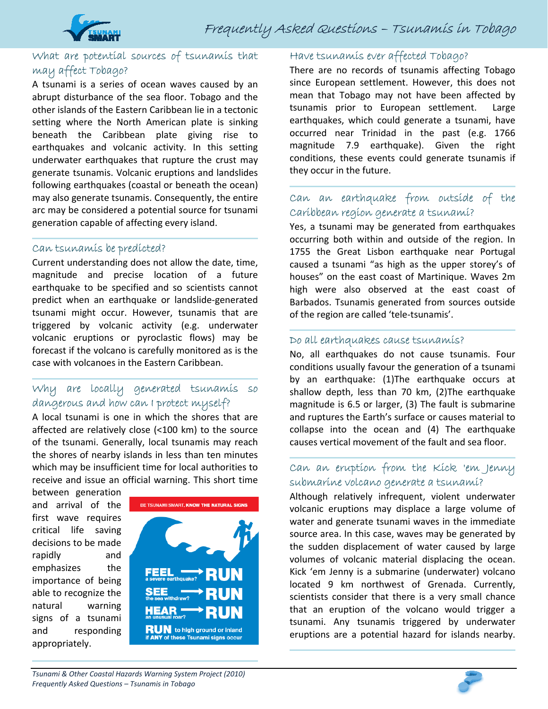

### What are potential sources of tsunamis that may affect Tobago?

A tsunami is a series of ocean waves caused by an abrupt disturbance of the sea floor. Tobago and the other islands of the Eastern Caribbean lie in a tectonic setting where the North American plate is sinking beneath the Caribbean plate giving rise to earthquakes and volcanic activity. In this setting underwater earthquakes that rupture the crust may generate tsunamis. Volcanic eruptions and landslides following earthquakes (coastal or beneath the ocean) may also generate tsunamis. Consequently, the entire arc may be considered a potential source for tsunami generation capable of affecting every island.

#### Can tsunamis be predicted?

Current understanding does not allow the date, time, magnitude and precise location of a future earthquake to be specified and so scientists cannot predict when an earthquake or landslide‐generated tsunami might occur. However, tsunamis that are triggered by volcanic activity (e.g. underwater volcanic eruptions or pyroclastic flows) may be forecast if the volcano is carefully monitored as is the case with volcanoes in the Eastern Caribbean.

#### Why are locally generated tsunamis so dangerous and how can I protect myself?

A local tsunami is one in which the shores that are affected are relatively close (<100 km) to the source of the tsunami. Generally, local tsunamis may reach the shores of nearby islands in less than ten minutes which may be insufficient time for local authorities to receive and issue an official warning. This short time

between generation and arrival of the first wave requires critical life saving decisions to be made rapidly and emphasizes the importance of being able to recognize the natural warning signs of a tsunami and responding appropriately.



#### Have tsunamis ever affected Tobago?

There are no records of tsunamis affecting Tobago since European settlement. However, this does not mean that Tobago may not have been affected by tsunamis prior to European settlement. Large earthquakes, which could generate a tsunami, have occurred near Trinidad in the past (e.g. 1766 magnitude 7.9 earthquake). Given the right conditions, these events could generate tsunamis if they occur in the future.

## Can an earthquake from outside of the Caribbean region generate a tsunami?

Yes, a tsunami may be generated from earthquakes occurring both within and outside of the region. In 1755 the Great Lisbon earthquake near Portugal caused a tsunami "as high as the upper storey's of houses" on the east coast of Martinique. Waves 2m high were also observed at the east coast of Barbados. Tsunamis generated from sources outside of the region are called 'tele‐tsunamis'.

#### Do all earthquakes cause tsunamis?

No, all earthquakes do not cause tsunamis. Four conditions usually favour the generation of a tsunami by an earthquake: (1)The earthquake occurs at shallow depth, less than 70 km, (2)The earthquake magnitude is 6.5 or larger, (3) The fault is submarine and ruptures the Earth's surface or causes material to collapse into the ocean and (4) The earthquake causes vertical movement of the fault and sea floor.

## Can an eruption from the Kick 'em Jenny submarine volcano generate a tsunami?

Although relatively infrequent, violent underwater volcanic eruptions may displace a large volume of water and generate tsunami waves in the immediate source area. In this case, waves may be generated by the sudden displacement of water caused by large volumes of volcanic material displacing the ocean. Kick 'em Jenny is a submarine (underwater) volcano located 9 km northwest of Grenada. Currently, scientists consider that there is a very small chance that an eruption of the volcano would trigger a tsunami. Any tsunamis triggered by underwater eruptions are a potential hazard for islands nearby.